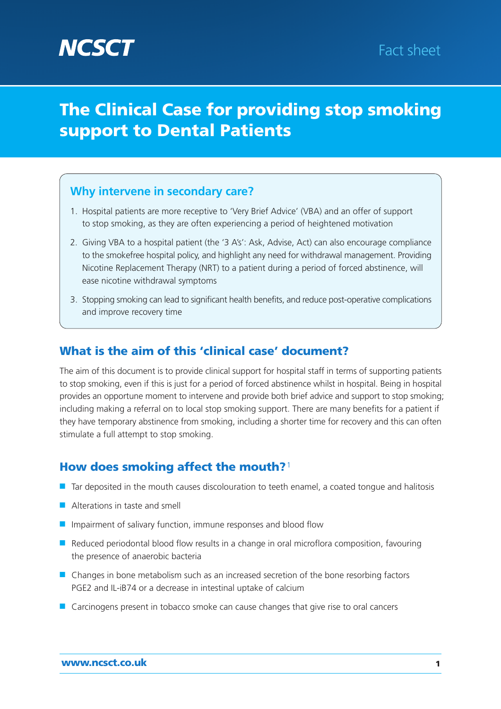# **The Clinical Case for providing stop smoking support to Dental Patients**

# **Why intervene in secondary care?**

- 1. Hospital patients are more receptive to 'Very Brief Advice' (VBA) and an offer of support to stop smoking, as they are often experiencing a period of heightened motivation
- 2. Giving VBA to a hospital patient (the '3 A's': Ask, Advise, Act) can also encourage compliance to the smokefree hospital policy, and highlight any need for withdrawal management. Providing Nicotine Replacement Therapy (NRT) to a patient during a period of forced abstinence, will ease nicotine withdrawal symptoms
- 3. Stopping smoking can lead to significant health benefits, and reduce post-operative complications and improve recovery time

# **What is the aim of this 'clinical case' document?**

The aim of this document is to provide clinical support for hospital staff in terms of supporting patients to stop smoking, even if this is just for a period of forced abstinence whilst in hospital. Being in hospital provides an opportune moment to intervene and provide both brief advice and support to stop smoking; including making a referral on to local stop smoking support. There are many benefits for a patient if they have temporary abstinence from smoking, including a shorter time for recovery and this can often stimulate a full attempt to stop smoking.

# **How does smoking affect the mouth?**<sup>1</sup>

- Tar deposited in the mouth causes discolouration to teeth enamel, a coated tongue and halitosis
- Alterations in taste and smell
- Impairment of salivary function, immune responses and blood flow
- Reduced periodontal blood flow results in a change in oral microflora composition, favouring the presence of anaerobic bacteria
- Changes in bone metabolism such as an increased secretion of the bone resorbing factors PGE2 and IL-iB74 or a decrease in intestinal uptake of calcium
- Carcinogens present in tobacco smoke can cause changes that give rise to oral cancers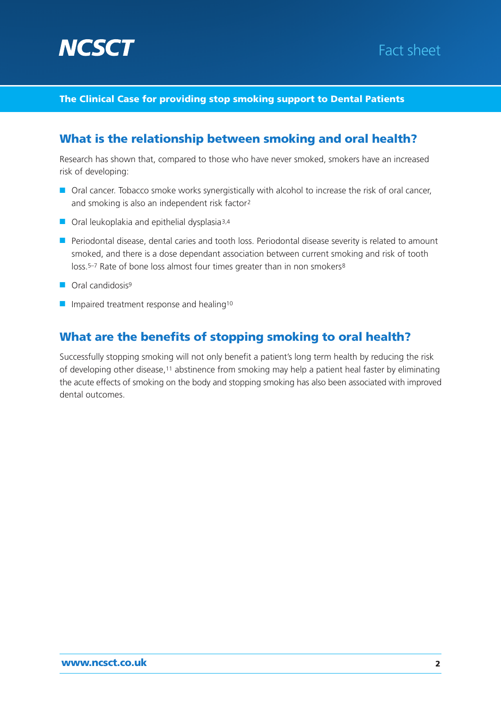



#### **The Clinical Case for providing stop smoking support to Dental Patients**

### **What is the relationship between smoking and oral health?**

Research has shown that, compared to those who have never smoked, smokers have an increased risk of developing:

- Oral cancer. Tobacco smoke works synergistically with alcohol to increase the risk of oral cancer, and smoking is also an independent risk factor2
- Oral leukoplakia and epithelial dysplasia<sup>3,4</sup>
- Periodontal disease, dental caries and tooth loss. Periodontal disease severity is related to amount smoked, and there is a dose dependant association between current smoking and risk of tooth loss.<sup>5–7</sup> Rate of bone loss almost four times greater than in non smokers<sup>8</sup>
- Oral candidosis<sup>9</sup>
- Impaired treatment response and healing<sup>10</sup>

#### **What are the benefits of stopping smoking to oral health?**

Successfully stopping smoking will not only benefit a patient's long term health by reducing the risk of developing other disease,11 abstinence from smoking may help a patient heal faster by eliminating the acute effects of smoking on the body and stopping smoking has also been associated with improved dental outcomes.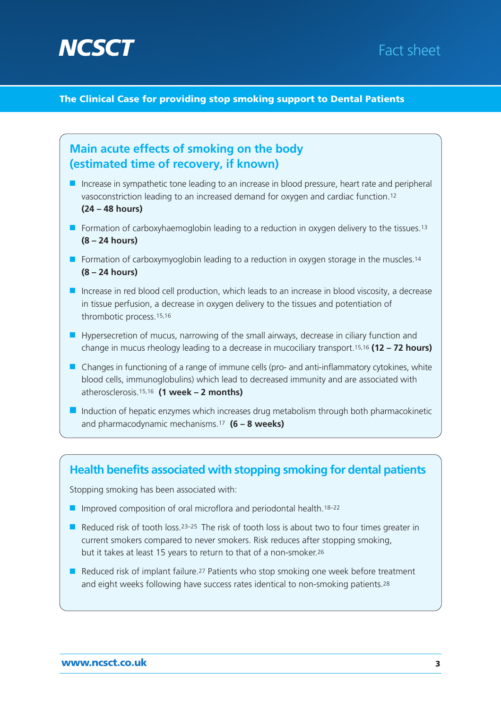

# Fact sheet

#### **The Clinical Case for providing stop smoking support to Dental Patients**



#### **Health benefits associated with stopping smoking for dental patients**

Stopping smoking has been associated with:

- Improved composition of oral microflora and periodontal health.<sup>18–22</sup>
- Reduced risk of tooth loss.<sup>23–25</sup> The risk of tooth loss is about two to four times greater in current smokers compared to never smokers. Risk reduces after stopping smoking, but it takes at least 15 years to return to that of a non-smoker.26
- Reduced risk of implant failure.<sup>27</sup> Patients who stop smoking one week before treatment and eight weeks following have success rates identical to non-smoking patients.<sup>28</sup>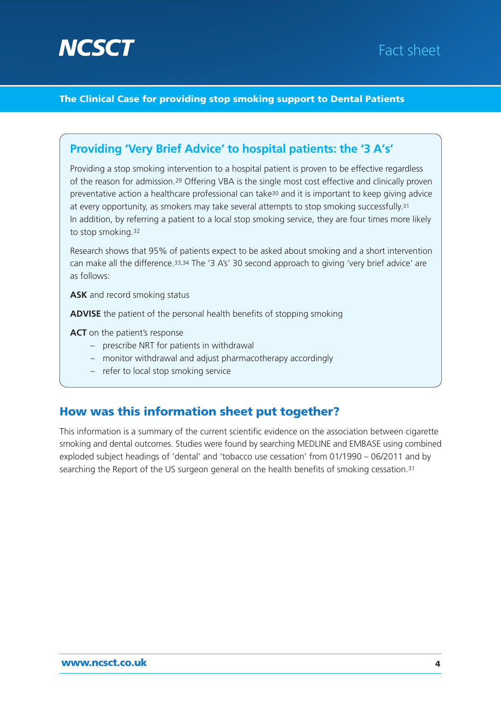

# Fact sheet

#### **The Clinical Case for providing stop smoking support to Dental Patients**

### **Providing 'Very Brief Advice' to hospital patients: the '3 A's'**

Providing a stop smoking intervention to a hospital patient is proven to be effective regardless of the reason for admission.29 Offering VBA is the single most cost effective and clinically proven preventative action a healthcare professional can take30 and it is important to keep giving advice at every opportunity, as smokers may take several attempts to stop smoking successfully.31 In addition, by referring a patient to a local stop smoking service, they are four times more likely to stop smoking.32

Research shows that 95% of patients expect to be asked about smoking and a short intervention can make all the difference.33,34 The '3 A's' 30 second approach to giving 'very brief advice' are as follows:

**ASK** and record smoking status

**ADVISE** the patient of the personal health benefits of stopping smoking

**ACT** on the patient's response

- prescribe NRT for patients in withdrawal
- monitor withdrawal and adjust pharmacotherapy accordingly
- refer to local stop smoking service

### **How was this information sheet put together?**

This information is a summary of the current scientific evidence on the association between cigarette smoking and dental outcomes. Studies were found by searching MEDLINE and EMBASE using combined exploded subject headings of 'dental' and 'tobacco use cessation' from 01/1990 – 06/2011 and by searching the Report of the US surgeon general on the health benefits of smoking cessation.31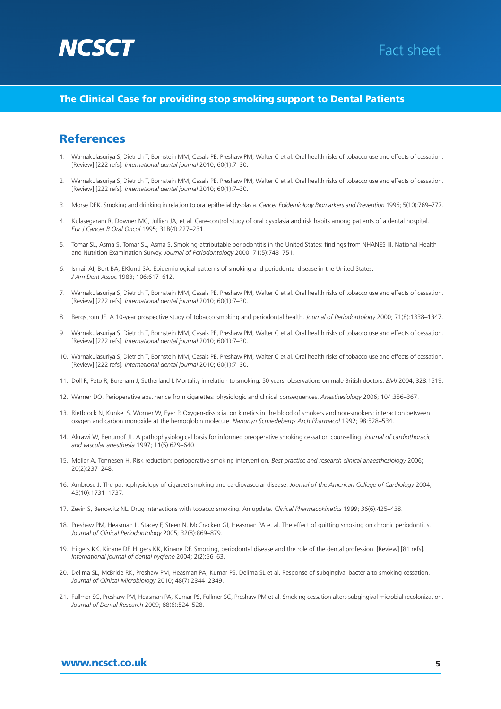



#### **The Clinical Case for providing stop smoking support to Dental Patients**

#### **References**

- 1. Warnakulasuriya S, Dietrich T, Bornstein MM, Casals PE, Preshaw PM, Walter C et al. Oral health risks of tobacco use and effects of cessation. [Review] [222 refs]. *International dental journal* 2010; 60(1):7–30.
- 2. Warnakulasuriya S, Dietrich T, Bornstein MM, Casals PE, Preshaw PM, Walter C et al. Oral health risks of tobacco use and effects of cessation. [Review] [222 refs]. *International dental journal* 2010; 60(1):7–30.
- 3. Morse DEK. Smoking and drinking in relation to oral epithelial dysplasia. *Cancer Epidemiology Biomarkers and Prevention* 1996; 5(10):769–777.
- 4. Kulasegaram R, Downer MC, Jullien JA, et al. Care-control study of oral dysplasia and risk habits among patients of a dental hospital. *Eur J Cancer B Oral Oncol* 1995; 31B(4):227–231.
- 5. Tomar SL, Asma S, Tomar SL, Asma S. Smoking-attributable periodontitis in the United States: findings from NHANES III. National Health and Nutrition Examination Survey. *Journal of Periodontology* 2000; 71(5):743–751.
- 6. Ismail AI, Burt BA, EKlund SA. Epidemiological patterns of smoking and periodontal disease in the United States. *J Am Dent Assoc* 1983; 106:617–612.
- 7. Warnakulasuriya S, Dietrich T, Bornstein MM, Casals PE, Preshaw PM, Walter C et al. Oral health risks of tobacco use and effects of cessation. [Review] [222 refs]. *International dental journal* 2010; 60(1):7–30.
- 8. Bergstrom JE. A 10-year prospective study of tobacco smoking and periodontal health. *Journal of Periodontology* 2000; 71(8):1338–1347.
- 9. Warnakulasuriya S, Dietrich T, Bornstein MM, Casals PE, Preshaw PM, Walter C et al. Oral health risks of tobacco use and effects of cessation. [Review] [222 refs]. *International dental journal* 2010; 60(1):7–30.
- 10. Warnakulasuriya S, Dietrich T, Bornstein MM, Casals PE, Preshaw PM, Walter C et al. Oral health risks of tobacco use and effects of cessation. [Review] [222 refs]. *International dental journal* 2010; 60(1):7–30.
- 11. Doll R, Peto R, Boreham J, Sutherland I. Mortality in relation to smoking: 50 years' observations on male British doctors. *BMJ* 2004; 328:1519.
- 12. Warner DO. Perioperative abstinence from cigarettes: physiologic and clinical consequences. *Anesthesiology* 2006; 104:356–367.
- 13. Rietbrock N, Kunkel S, Worner W, Eyer P. Oxygen-dissociation kinetics in the blood of smokers and non-smokers: interaction between oxygen and carbon monoxide at the hemoglobin molecule. *Nanunyn Scmiedebergs Arch Pharmacol* 1992; 98:528–534.
- 14. Akrawi W, Benumof JL. A pathophysiological basis for informed preoperative smoking cessation counselling. *Journal of cardiothoracic and vascular anesthesia* 1997; 11(5):629–640.
- 15. Moller A, Tonnesen H. Risk reduction: perioperative smoking intervention. *Best practice and research clinical anaesthesiology* 2006; 20(2):237–248.
- 16. Ambrose J. The pathophysiology of cigareet smoking and cardiovascular disease. *Journal of the American College of Cardiology* 2004; 43(10):1731–1737.
- 17. Zevin S, Benowitz NL. Drug interactions with tobacco smoking. An update. *Clinical Pharmacokinetics* 1999; 36(6):425–438.
- 18. Preshaw PM, Heasman L, Stacey F, Steen N, McCracken GI, Heasman PA et al. The effect of quitting smoking on chronic periodontitis. *Journal of Clinical Periodontology* 2005; 32(8):869–879.
- 19. Hilgers KK, Kinane DF, Hilgers KK, Kinane DF. Smoking, periodontal disease and the role of the dental profession. [Review] [81 refs]. *International journal of dental hygiene* 2004; 2(2):56–63.
- 20. Delima SL, McBride RK, Preshaw PM, Heasman PA, Kumar PS, Delima SL et al. Response of subgingival bacteria to smoking cessation. *Journal of Clinical Microbiology* 2010; 48(7):2344–2349.
- 21. Fullmer SC, Preshaw PM, Heasman PA, Kumar PS, Fullmer SC, Preshaw PM et al. Smoking cessation alters subgingival microbial recolonization. *Journal of Dental Research* 2009; 88(6):524–528.